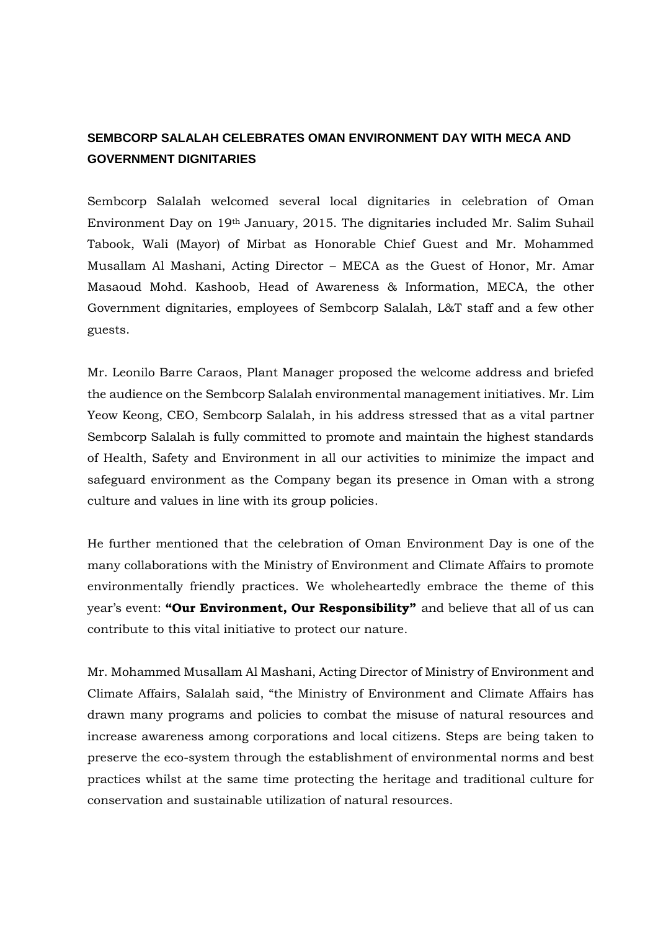## **SEMBCORP SALALAH CELEBRATES OMAN ENVIRONMENT DAY WITH MECA AND GOVERNMENT DIGNITARIES**

Sembcorp Salalah welcomed several local dignitaries in celebration of Oman Environment Day on 19th January, 2015. The dignitaries included Mr. Salim Suhail Tabook, Wali (Mayor) of Mirbat as Honorable Chief Guest and Mr. Mohammed Musallam Al Mashani, Acting Director – MECA as the Guest of Honor, Mr. Amar Masaoud Mohd. Kashoob, Head of Awareness & Information, MECA, the other Government dignitaries, employees of Sembcorp Salalah, L&T staff and a few other guests.

Mr. Leonilo Barre Caraos, Plant Manager proposed the welcome address and briefed the audience on the Sembcorp Salalah environmental management initiatives. Mr. Lim Yeow Keong, CEO, Sembcorp Salalah, in his address stressed that as a vital partner Sembcorp Salalah is fully committed to promote and maintain the highest standards of Health, Safety and Environment in all our activities to minimize the impact and safeguard environment as the Company began its presence in Oman with a strong culture and values in line with its group policies.

He further mentioned that the celebration of Oman Environment Day is one of the many collaborations with the Ministry of Environment and Climate Affairs to promote environmentally friendly practices. We wholeheartedly embrace the theme of this year's event: **"Our Environment, Our Responsibility"** and believe that all of us can contribute to this vital initiative to protect our nature.

Mr. Mohammed Musallam Al Mashani, Acting Director of Ministry of Environment and Climate Affairs, Salalah said, "the Ministry of Environment and Climate Affairs has drawn many programs and policies to combat the misuse of natural resources and increase awareness among corporations and local citizens. Steps are being taken to preserve the eco-system through the establishment of environmental norms and best practices whilst at the same time protecting the heritage and traditional culture for conservation and sustainable utilization of natural resources.